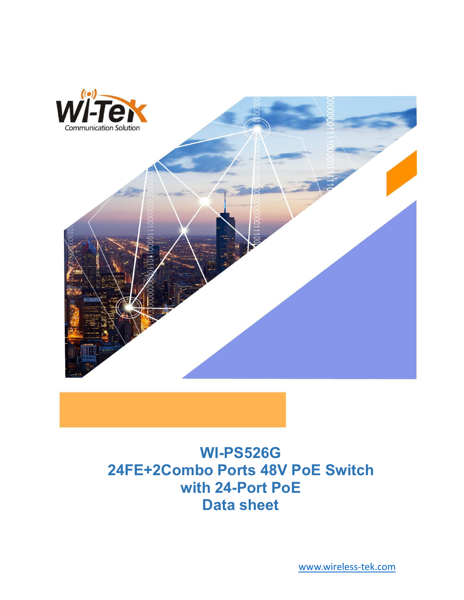

# **WI-PS526G 24FE+2Combo Ports 48V PoE Switch with 24-Port PoE Data sheet**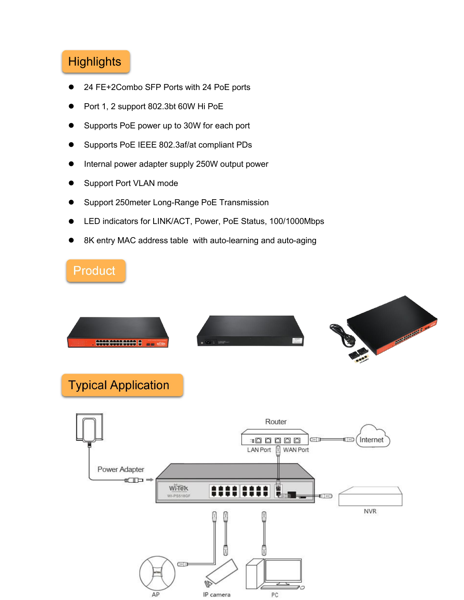## **Highlights**

- 24 FE+2Combo SFP Ports with 24 PoE ports
- Port 1, 2 support 802.3bt 60W Hi PoE
- Supports PoE power up to 30W for each port
- Supports PoE IEEE 802.3af/at compliant PDs
- Internal power adapter supply 250W output power
- Support Port VLAN mode
- Support 250meter Long-Range PoE Transmission
- LED indicators for LINK/ACT, Power, PoE Status, 100/1000Mbps
- 8K entry MAC address table with auto-learning and auto-aging

# Product

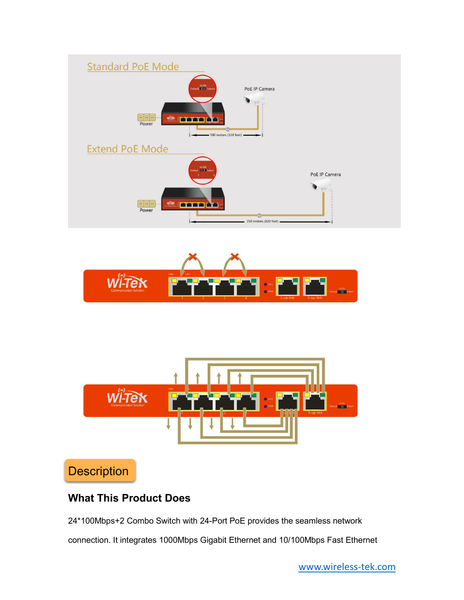





**Description** 

### **What This Product Does**

24\*100Mbps+2 Combo Switch with 24-Port PoE provides the seamless network connection. It integrates 1000Mbps Gigabit Ethernet and 10/100Mbps Fast Ethernet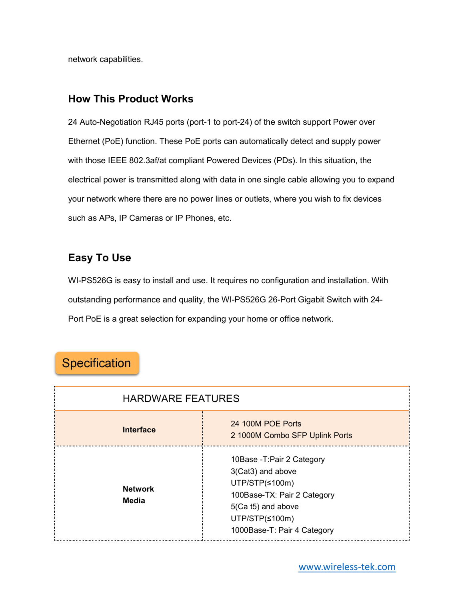network capabilities.

#### **How This Product Works**

24 Auto-Negotiation RJ45 ports (port-1 to port-24) of the switch support Power over Ethernet (PoE) function. These PoE ports can automatically detect and supply power with those IEEE 802.3af/at compliant Powered Devices (PDs). In this situation, the electrical power is transmitted along with data in one single cable allowing you to expand your network where there are no power lines or outlets, where you wish to fix devices such as APs, IP Cameras or IP Phones, etc.

### **Easy To Use**

WI-PS526G is easy to install and use. It requires no configuration and installation.With outstanding performance and quality, the WI-PS526G 26-Port Gigabit Switch with 24- Port PoE is a great selection for expanding your home or office network.

## Specification

| <b>HARDWARE FEATURES</b>       |                                                                                                                                                                          |
|--------------------------------|--------------------------------------------------------------------------------------------------------------------------------------------------------------------------|
| <b>Interface</b>               | 24 100M POE Ports<br>2 1000M Combo SFP Uplink Ports                                                                                                                      |
| <b>Network</b><br><b>Media</b> | 10Base - T: Pair 2 Category<br>3(Cat3) and above<br>UTP/STP(≤100m)<br>100Base-TX: Pair 2 Category<br>5(Ca t5) and above<br>UTP/STP(≤100m)<br>1000Base-T: Pair 4 Category |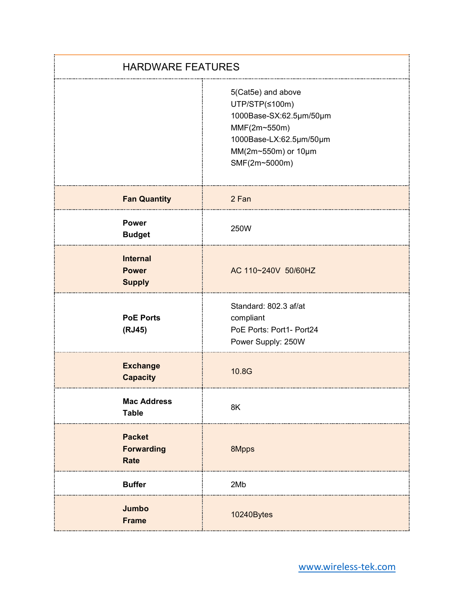| <b>HARDWARE FEATURES</b>                         |                                                                                                                                                    |
|--------------------------------------------------|----------------------------------------------------------------------------------------------------------------------------------------------------|
|                                                  | 5(Cat5e) and above<br>UTP/STP(≤100m)<br>1000Base-SX:62.5µm/50µm<br>MMF(2m~550m)<br>1000Base-LX:62.5µm/50µm<br>MM(2m~550m) or 10µm<br>SMF(2m~5000m) |
| <b>Fan Quantity</b>                              | 2 Fan                                                                                                                                              |
| <b>Power</b><br><b>Budget</b>                    | 250W                                                                                                                                               |
| <b>Internal</b><br><b>Power</b><br><b>Supply</b> | AC 110~240V 50/60HZ                                                                                                                                |
| <b>PoE Ports</b><br>(RJ45)                       | Standard: 802.3 af/at<br>compliant<br>PoE Ports: Port1- Port24<br>Power Supply: 250W                                                               |
| <b>Exchange</b><br><b>Capacity</b>               | 10.8G                                                                                                                                              |
| <b>Mac Address</b><br><b>Table</b>               | 8K                                                                                                                                                 |
| <b>Packet</b><br><b>Forwarding</b><br>Rate       | 8Mpps                                                                                                                                              |
| <b>Buffer</b>                                    | 2Mb                                                                                                                                                |
| Jumbo<br><b>Frame</b>                            | 10240Bytes                                                                                                                                         |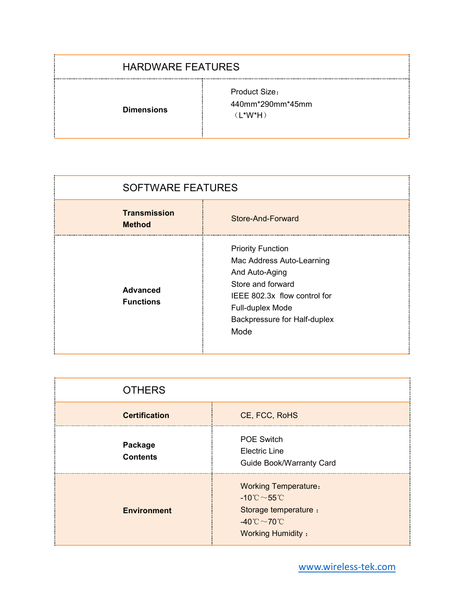#### HARDWARE FEATURES

**Dimensions**

Product Size: 440mm\*290mm\*45mm (L\*W\*H)

| <b>SOFTWARE FEATURES</b>             |                                                                                                                                                                                          |
|--------------------------------------|------------------------------------------------------------------------------------------------------------------------------------------------------------------------------------------|
| <b>Transmission</b><br><b>Method</b> | Store-And-Forward                                                                                                                                                                        |
| <b>Advanced</b><br><b>Functions</b>  | <b>Priority Function</b><br>Mac Address Auto-Learning<br>And Auto-Aging<br>Store and forward<br>IEEE 802.3x flow control for<br>Full-duplex Mode<br>Backpressure for Half-duplex<br>Mode |

| <b>OTHERS</b>              |                                                                                                                                                                        |
|----------------------------|------------------------------------------------------------------------------------------------------------------------------------------------------------------------|
| <b>Certification</b>       | CE, FCC, RoHS                                                                                                                                                          |
| Package<br><b>Contents</b> | <b>POE Switch</b><br><b>Electric Line</b><br><b>Guide Book/Warranty Card</b>                                                                                           |
| <b>Environment</b>         | <b>Working Temperature:</b><br>-10 $^{\circ}$ C $\sim$ 55 $^{\circ}$ C<br>Storage temperature :<br>-40 $^{\circ}$ C $\sim$ 70 $^{\circ}$ C<br><b>Working Humidity:</b> |